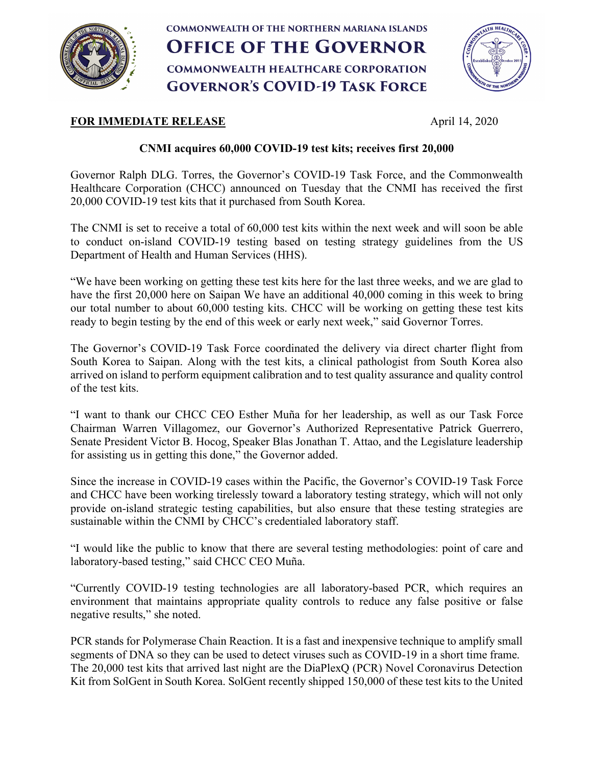

## **COMMONWEALTH OF THE NORTHERN MARIANA ISLANDS OFFICE OF THE GOVERNOR COMMONWEALTH HEALTHCARE CORPORATION GOVERNOR'S COVID-19 TASK FORCE**



## **FOR IMMEDIATE RELEASE** April 14, 2020

## **CNMI acquires 60,000 COVID-19 test kits; receives first 20,000**

Governor Ralph DLG. Torres, the Governor's COVID-19 Task Force, and the Commonwealth Healthcare Corporation (CHCC) announced on Tuesday that the CNMI has received the first 20,000 COVID-19 test kits that it purchased from South Korea.

The CNMI is set to receive a total of 60,000 test kits within the next week and will soon be able to conduct on-island COVID-19 testing based on testing strategy guidelines from the US Department of Health and Human Services (HHS).

"We have been working on getting these test kits here for the last three weeks, and we are glad to have the first 20,000 here on Saipan We have an additional 40,000 coming in this week to bring our total number to about 60,000 testing kits. CHCC will be working on getting these test kits ready to begin testing by the end of this week or early next week," said Governor Torres.

The Governor's COVID-19 Task Force coordinated the delivery via direct charter flight from South Korea to Saipan. Along with the test kits, a clinical pathologist from South Korea also arrived on island to perform equipment calibration and to test quality assurance and quality control of the test kits.

"I want to thank our CHCC CEO Esther Muña for her leadership, as well as our Task Force Chairman Warren Villagomez, our Governor's Authorized Representative Patrick Guerrero, Senate President Victor B. Hocog, Speaker Blas Jonathan T. Attao, and the Legislature leadership for assisting us in getting this done," the Governor added.

Since the increase in COVID-19 cases within the Pacific, the Governor's COVID-19 Task Force and CHCC have been working tirelessly toward a laboratory testing strategy, which will not only provide on-island strategic testing capabilities, but also ensure that these testing strategies are sustainable within the CNMI by CHCC's credentialed laboratory staff.

"I would like the public to know that there are several testing methodologies: point of care and laboratory-based testing," said CHCC CEO Muña.

"Currently COVID-19 testing technologies are all laboratory-based PCR, which requires an environment that maintains appropriate quality controls to reduce any false positive or false negative results," she noted.

PCR stands for Polymerase Chain Reaction. It is a fast and inexpensive technique to amplify small segments of DNA so they can be used to detect viruses such as COVID-19 in a short time frame. The 20,000 test kits that arrived last night are the DiaPlexQ (PCR) Novel Coronavirus Detection Kit from SolGent in South Korea. SolGent recently shipped 150,000 of these test kits to the United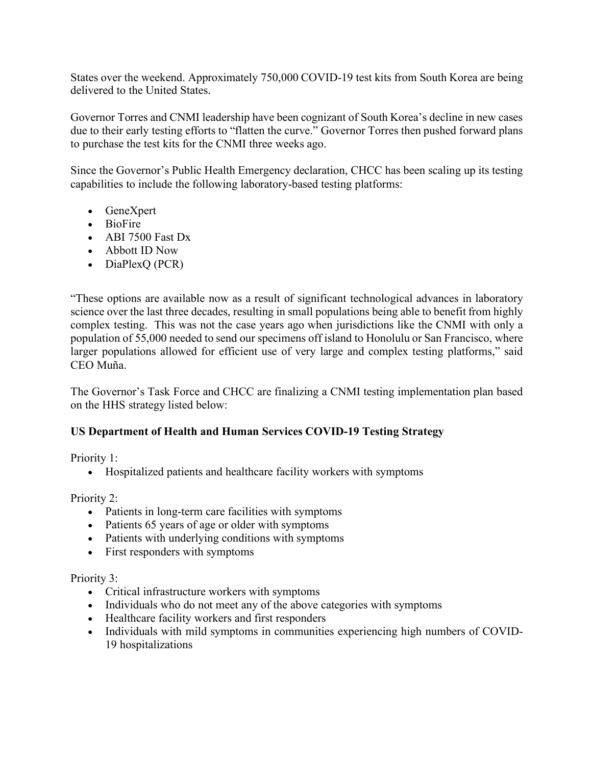States over the weekend. Approximately 750,000 COVID-19 test kits from South Korea are being delivered to the United States.

Governor Torres and CNMI leadership have been cognizant of South Korea's decline in new cases due to their early testing efforts to "flatten the curve." Governor Torres then pushed forward plans to purchase the test kits for the CNMI three weeks ago.

Since the Governor's Public Health Emergency declaration, CHCC has been scaling up its testing capabilities to include the following laboratory-based testing platforms:

- GeneXpert
- BioFire
- ABI 7500 Fast Dx
- Abbott ID Now
- DiaPlexQ (PCR)

"These options are available now as a result of significant technological advances in laboratory science over the last three decades, resulting in small populations being able to benefit from highly complex testing. This was not the case years ago when jurisdictions like the CNMI with only a population of 55,000 needed to send our specimens off island to Honolulu or San Francisco, where larger populations allowed for efficient use of very large and complex testing platforms," said CEO Muña.

The Governor's Task Force and CHCC are finalizing a CNMI testing implementation plan based on the HHS strategy listed below:

## **US Department of Health and Human Services COVID-19 Testing Strategy**

Priority 1:

• Hospitalized patients and healthcare facility workers with symptoms

Priority 2:

- Patients in long-term care facilities with symptoms
- Patients 65 years of age or older with symptoms
- Patients with underlying conditions with symptoms
- First responders with symptoms

Priority 3:

- Critical infrastructure workers with symptoms
- Individuals who do not meet any of the above categories with symptoms
- Healthcare facility workers and first responders
- Individuals with mild symptoms in communities experiencing high numbers of COVID-19 hospitalizations